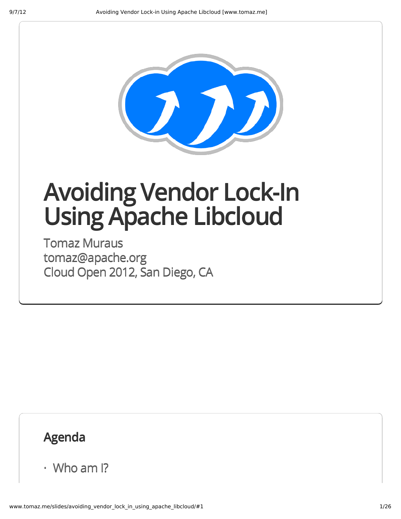

## **Avoiding Vendor Lock-In UsingApache Libcloud**

Tomaz Muraus tomaz@apache.org Cloud Open 2012, San Diego, CA

## **Agenda**

· Who am I?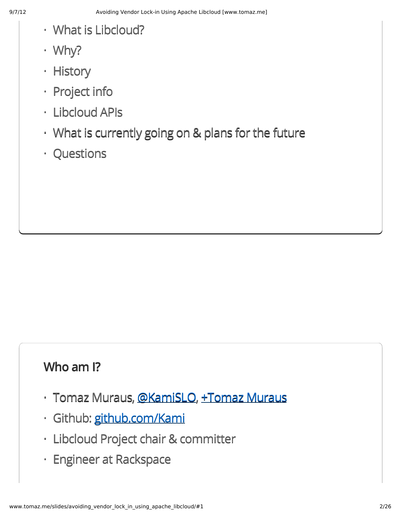- What is Libcloud? ·
- Why? ·
- · History
- Project info
- Libcloud APIs ·
- What is currently going on & plans for the future ·
- Questions ·

## **Who am I?**

- · Tomaz Muraus, <u>[@KamiSLO](https://twitter.com/KamiSLO), [+Tomaz](https://plus.google.com/106838062648597435631/posts) Muraus</u>
- · Github: [github.com/Kami](https://github.com/Kami)
- Libcloud Project chair & committer ·
- Engineer at Rackspace ·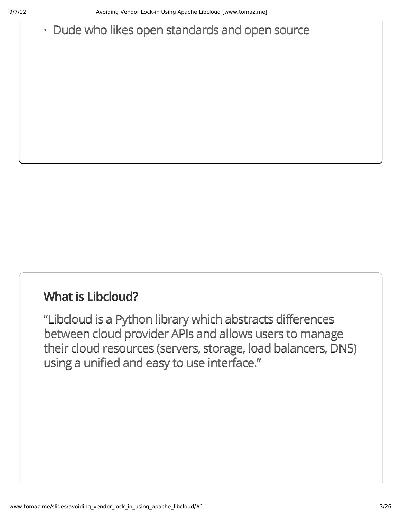## · Dude who likes open standards and open source

#### **What is Libcloud?**

"Libcloud is a Python library which abstracts differences between cloud provider APIs and allows users to manage their cloud resources (servers, storage, load balancers, DNS) using a unified and easy to use interface."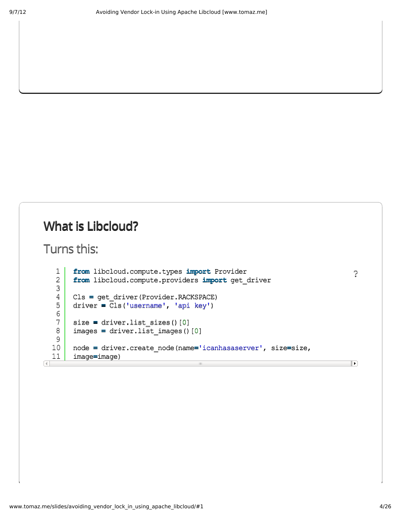## **What is Libcloud?**

```
Turns this:
```

```
from libcloud.compute.types import Provider
   1
   2
       fromlibcloud.compute.providersimportget_driver
   3
   4
       Cls=get_driver(Provider.RACKSPACE)
   5
       driver=Cls('username','apikey')
   6
   7
       size=driver.list_sizes()[0]
   8
       images=driver.list_images()[0]
   9
  10
       node=driver.create_node(name='icanhasaserver',size=size,
  11
       image=image)
\overline{4}\pm 11
```
[?](http://www.tomaz.me/slides/avoiding_vendor_lock_in_using_apache_libcloud/#)

 $\overline{\phantom{a}}$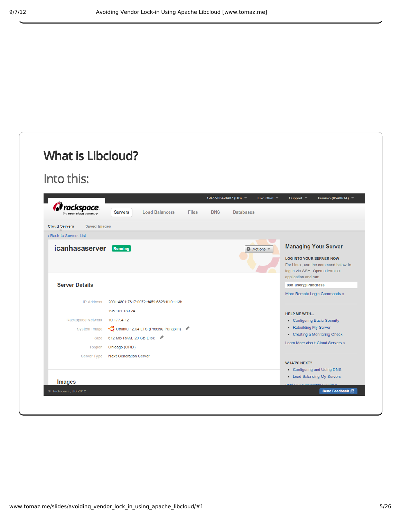| Into this:                                  |                                                           |                                          |                    |                                                                                                                                   |
|---------------------------------------------|-----------------------------------------------------------|------------------------------------------|--------------------|-----------------------------------------------------------------------------------------------------------------------------------|
|                                             |                                                           |                                          |                    |                                                                                                                                   |
|                                             |                                                           | 1-877-934-0407 (US) $\blacktriangledown$ | Live Chat $\equiv$ | Support $\overline{\phantom{x}}$<br>kamislo (#546514) $\sqrt{ }$                                                                  |
| Corackspace.<br>the open cloud company      | <b>Load Balancers</b><br><b>Servers</b><br><b>Files</b>   | <b>DNS</b>                               | <b>Databases</b>   |                                                                                                                                   |
| <b>Cloud Servers</b><br><b>Saved Images</b> |                                                           |                                          |                    |                                                                                                                                   |
| « Back to Servers List                      |                                                           |                                          |                    |                                                                                                                                   |
| icanhasaserver                              | Running                                                   |                                          | ☆ Actions          | <b>Managing Your Server</b>                                                                                                       |
|                                             |                                                           |                                          |                    | <b>LOG INTO YOUR SERVER NOW</b><br>For Linux, use the command below to<br>log in via SSH. Open a terminal<br>application and run: |
| <b>Server Details</b>                       |                                                           |                                          |                    | ssh user@IPaddress                                                                                                                |
|                                             |                                                           |                                          |                    | More Remote Login Commands »                                                                                                      |
| <b>IP Address</b>                           | 2001:4801:7817:0072:d459:6323:ff10:113b<br>198.101.159.24 |                                          |                    |                                                                                                                                   |
| Rackspace Network                           | 10.177.4.12                                               |                                          |                    | <b>HELP ME WITH</b><br>• Configuring Basic Security                                                                               |
| System Image                                | Ubuntu 12.04 LTS (Precise Pangolin)                       |                                          |                    | • Rebuilding My Server                                                                                                            |
|                                             | Size 512 MB RAM, 20 GB Disk                               |                                          |                    | • Creating a Monitoring Check                                                                                                     |
| Region                                      | Chicago (ORD)                                             |                                          |                    | Learn More about Cloud Servers »                                                                                                  |
| Server Type                                 | <b>Next Generation Server</b>                             |                                          |                    |                                                                                                                                   |
|                                             |                                                           |                                          |                    | <b>WHAT'S NEXT?</b>                                                                                                               |
|                                             |                                                           |                                          |                    | • Configuring and Using DNS                                                                                                       |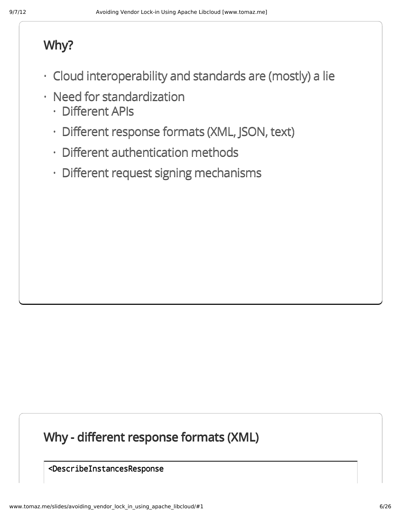## **Why?**

- Cloud interoperability and standards are (mostly) a lie ·
- Need for standardization
	- Different APIs ·
	- Different response formats (XML, JSON, text) ·
	- Different authentication methods ·
	- Different request signing mechanisms ·

## **Why - different response formats (XML)**

<DescribeInstancesResponse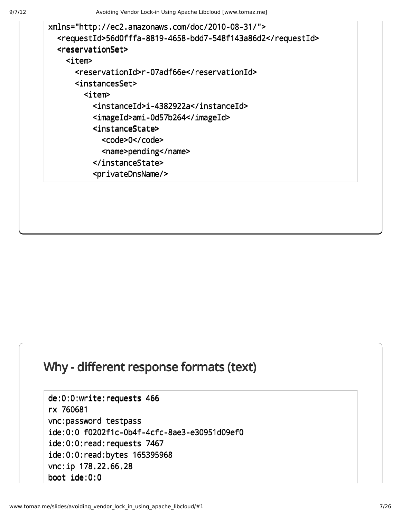```
xmlns="http://ec2.amazonaws.com/doc/2010-08-31/">
  <requestId>56d0fffa-8819-4658-bdd7-548f143a86d2</requestId>
  <reservationSet>
    <item>
      <reservationId>r-07adf66e</reservationId>
      <instancesSet>
        <item>
          <instanceId>i-4382922a</instanceId>
          <imageId>ami-0d57b264</imageId>
          <instanceState>
            <code>0</code>
            <name>pending</name>
          </instanceState>
          <privateDnsName/>
```
#### **Why - different response formats (text)**

```
de:0:0:write:requests466
rx760681
vnc:password testpass
ide:0:0 f0202f1c-0b4f-4cfc-8ae3-e30951d09ef0
ide:0:0:read:requests 7467
ide:0:0:read:bytes 165395968
vnc:ip178.22.66.28
boot ide:0:0
```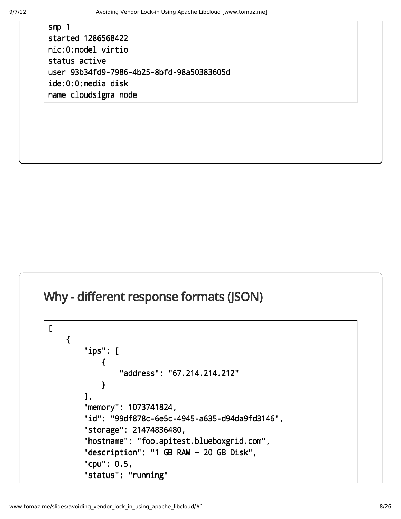smp 1 started 1286568422 nic:0:model virtio status active user 93b34fd9-7986-4b25-8bfd-98a50383605d  $ide:0:0:media disk$ name cloudsigma node

## **Why - different response formats (JSON)**

```
\Gamma{
        "ips":[
            {
                "address": "67.214.214.212"
            }
        ],
        "memory": 1073741824,
        "id":"99df878c-6e5c-4945-a635-d94da9fd3146",
        "storage":21474836480,
        "hostname":"foo.apitest.blueboxgrid.com",
        "description": "1 GB RAM + 20 GB Disk",
        "cpu":0.5,
        "status": "running"
```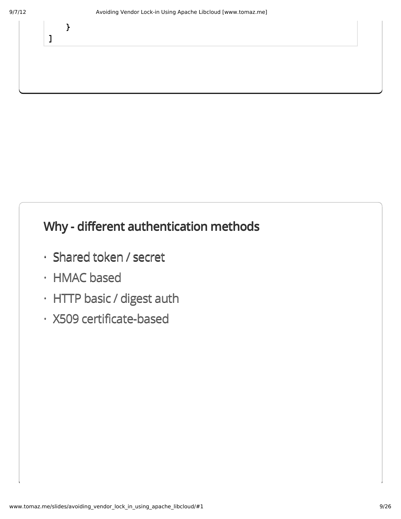}

]

## **Why - different authentication methods**

- Shared token / secret
- HMAC based ·
- $\cdot$  HTTP basic / digest auth  $\;$
- X509 certificate-based ·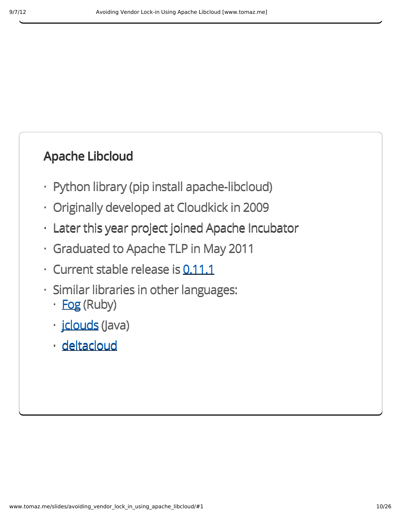## **Apache Libcloud**

- Python library (pip install apache-libcloud)
- Originally developed at Cloudkick in 2009 ·
- Later this year project joined Apache Incubator ·
- Graduated to Apache TLP in May 2011 ·
- · Current stable release is [0.11.1](http://libcloud.apache.org/downloads.html)
- Similar libraries in other languages: ·
	- · **[Fog](http://fog.io/)** (Ruby)
	- · <u>[jclouds](http://www.jclouds.org/)</u> (Java)
	- <u>· [deltacloud](http://deltacloud.apache.org/)</u>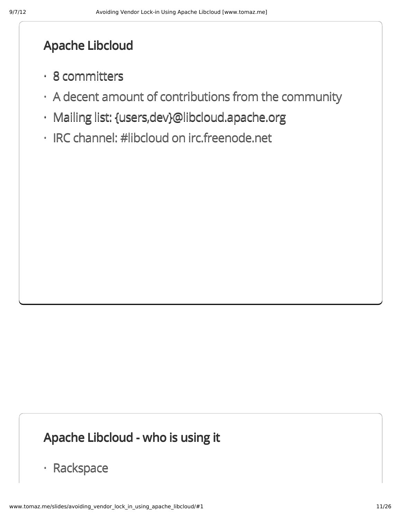#### **Apache Libcloud**

- 8 committers ·
- $\cdot$  A decent amount of contributions from the community
- Mailing list: {users,dev}@libcloud.apache.org ·
- · IRC channel: #libcloud on irc.freenode.net

## **Apache Libcloud - who is using it**

· Rackspace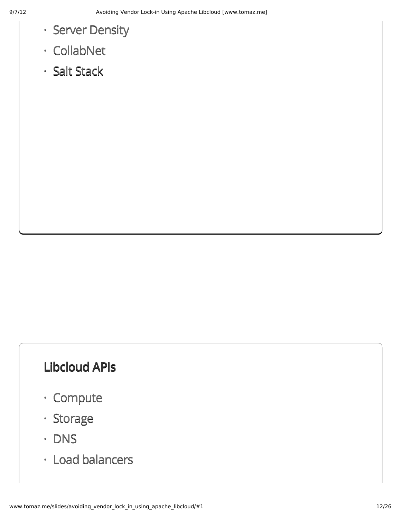- Server Density
- CollabNet ·
- Salt Stack

## **Libcloud APIs**

- Compute ·
- · Storage
- DNS ·
- Load balancers ·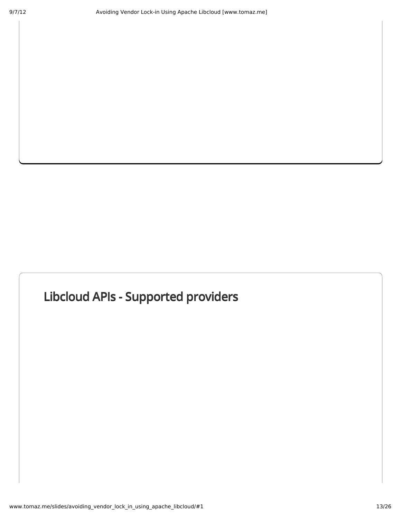## **Libcloud APIs - Supported providers**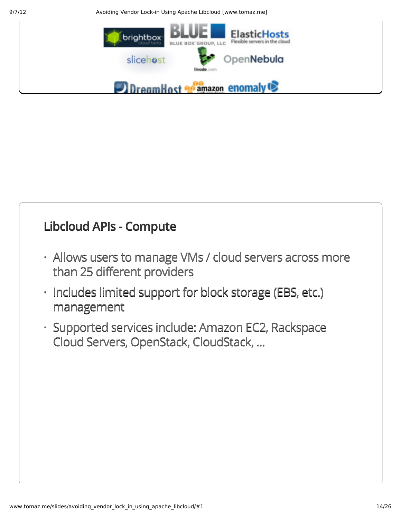9/7/12 Avoiding Vendor Lock-in Using Apache Libcloud [www.tomaz.me]



## **Libcloud APIs - Compute**

- Allows users to manage VMs / cloud servers across more · than 25 different providers
- $\cdot$  Includes limited support for block storage (EBS, etc.) management
- · Supported services include: Amazon EC2, Rackspace Cloud Servers, OpenStack, CloudStack, ...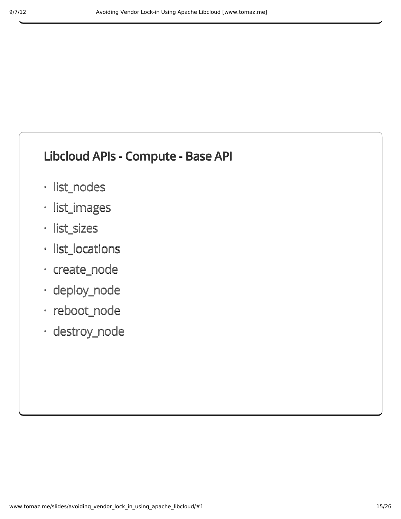#### **Libcloud APIs - Compute - Base API**

- · list\_nodes
- · list\_images
- list\_sizes ·
- · list\_locations
- create\_node ·
- deploy\_node ·
- · reboot\_node
- destroy\_node ·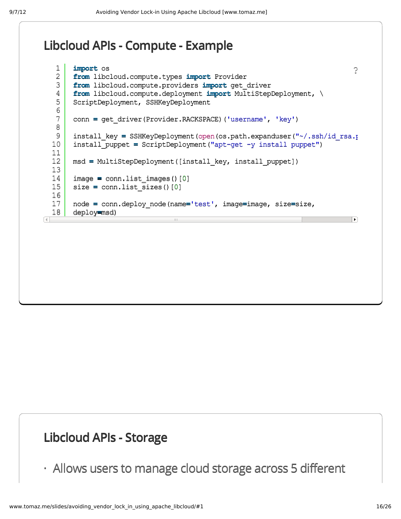#### **Libcloud APIs - Compute - Example**

```
1
     import os
                                                                             ?2
     from libcloud.compute.types import Provider
 3
     from libcloud.compute.providers import get driver
 4
     from libcloud.compute.deployment import MultiStepDeployment, \
 5
     ScriptDeployment, SSHKeyDeployment
 6
 7
     conn = get driver(Provider.RACKSPACE)('username', 'key')
 8
 9
     install key = SSHKeyDeployment(open(os.path.expanduser("~/.ssh/id rsa.pub
10
     install puppet = ScriptDeployment("apt-qet -y install puppet")
11
12
     msd=MultiStepDeployment([install_key,install_puppet])
13
14
     image=conn.list_images()[0]
15
     size = conn.list sizes()[0]
16
17
     node=conn.deploy_node(name='test',image=image,size=size,
18
     deploy=msd)
                                                                             \blacktriangleright
```
#### **Libcloud APIs - Storage**

· Allows users to manage cloud storage across 5 different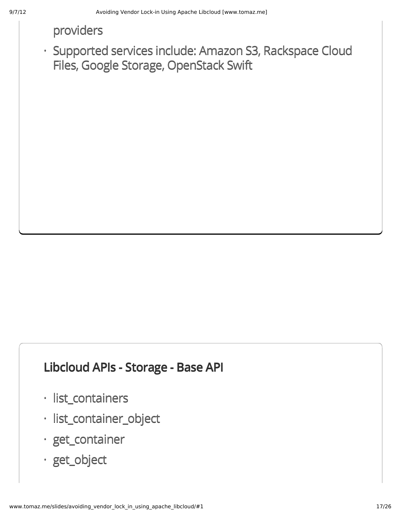#### providers

· Supported services include: Amazon S3, Rackspace Cloud Files, Google Storage, OpenStack Swift

#### **Libcloud APIs - Storage - Base API**

- · list\_containers
- · list\_container\_object
- · get\_container
- · get\_object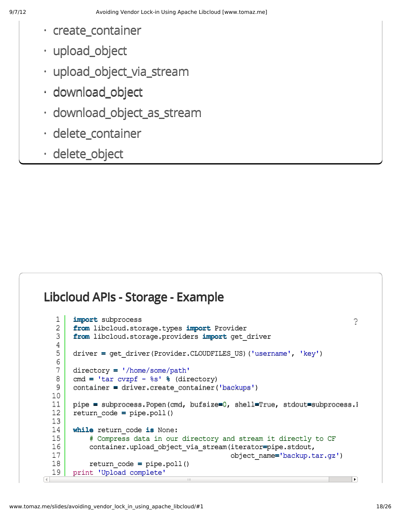- create\_container ·
- upload\_object ·
- upload\_object\_via\_stream ·
- · download\_object
- · download\_object\_as\_stream
- · delete\_container
- · delete\_object

#### **Libcloud APIs - Storage - Example**

```
1
   2
   3
   4
   5
   6
   7
   8
   9
  10
  11
  12
  13
  14
  15
  16
  17
  18
\frac{19}{1}import subprocess
       from libcloud.storage.types import Provider
       fromlibcloud.storage.providersimportget_driver
       driver=get_driver(Provider.CLOUDFILES_US)('username','key')
       directory='/home/some/path'
       cmd = \tanctan cvzpf - \text{\$s'} \ \ddot{\text{\$} } (directory)
       container = driver.create container('backups')
       pipe = subprocess.Popen(cmd, bufsize=0, shell=True, stdout=subprocess.I
       return_code=pipe.poll()
       while return code is None:
            # Compress data in our directory and stream it directly to CF
           container.upload_object_via_stream(iterator=pipe.stdout,
                                                object_name='backup.tar.gz')
           return_code=pipe.poll()
       print 'Upload complete'
                                                                                 ?
```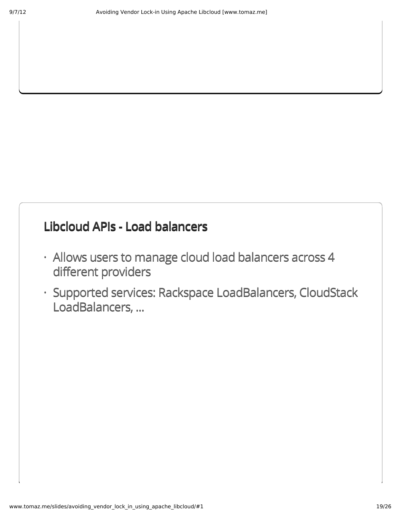#### **Libcloud APIs - Load balancers**

- Allows users to manage cloud load balancers across 4 · different providers
- Supported services: Rackspace LoadBalancers, CloudStack ·LoadBalancers, ...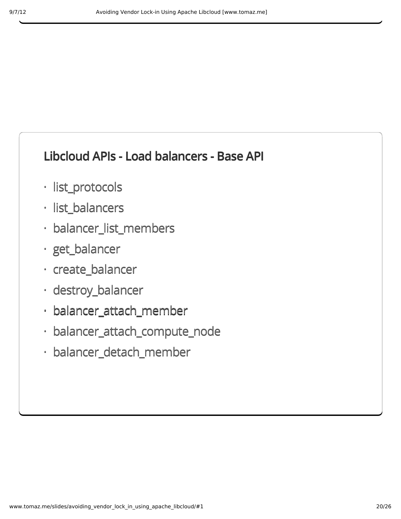## **Libcloud APIs - Load balancers - Base API**

- · list\_protocols
- · list\_balancers
- · balancer\_list\_members
- · get\_balancer
- create\_balancer ·
- · destroy\_balancer
- balancer\_attach\_member ·
- balancer\_attach\_compute\_node ·
- balancer\_detach\_member ·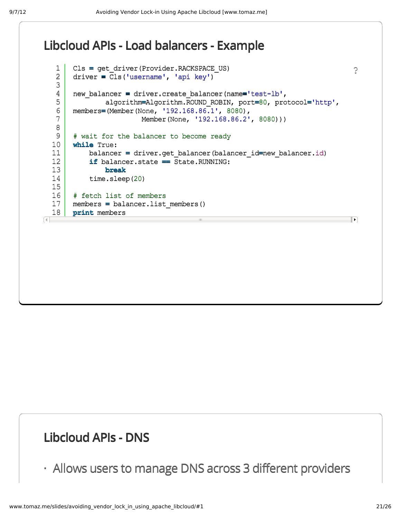#### **Libcloud APIs - Load balancers - Example**

```
1
       Cls=get_driver(Provider.RACKSPACE_US)
                                                                                ?2
       driver = Cls('username', 'api key')
   3
   4
       new balancer = driver.create balancer(name='test-lb',
   5
               algorithm=Algorithm.ROUND_ROBIN,port=80,protocol='http',
   6
       members=(Member(None, '192.168.86.1', 8080),
   7
                         Member(None, '192.168.86.2', 8080)))
   8
   9
       # wait for the balancer to become ready
  10
       while True:
  11
           balancer=driver.get_balancer(balancer_id=new_balancer.id)
           ifbalancer.state==State.RUNNING:
  12
  13
               break
  14
           time.sleep(20)
  15
  16
       # fetch list of members
  17
       members=balancer.list_members()
  18
       print members
                                                                               \overline{\mathbb{E}}\Box
```
## **Libcloud APIs - DNS**

· Allows users to manage DNS across 3 different providers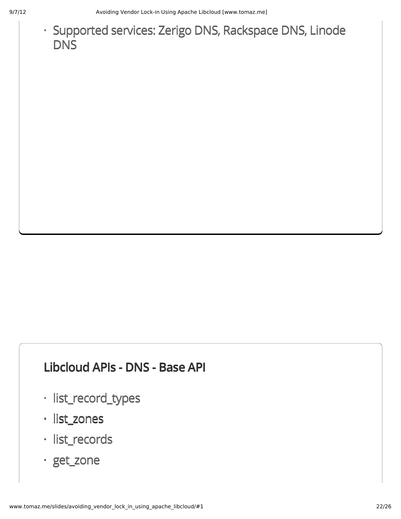9/7/12 **Avoiding Vendor Lock-in Using Apache Libcloud [www.tomaz.me]** 

## · Supported services: Zerigo DNS, Rackspace DNS, Linode **DNS**

#### **Libcloud APIs - DNS - Base API**

- · list\_record\_types
- list\_zones ·
- list\_records ·
- get\_zone ·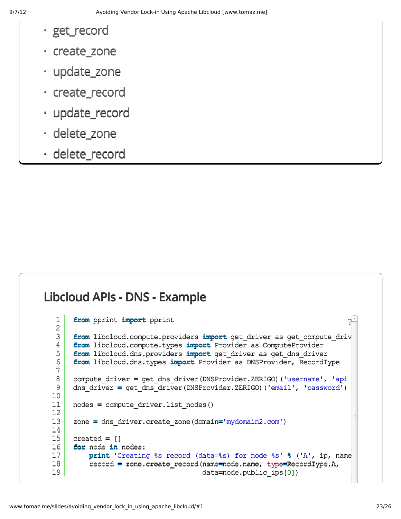- · get\_record
- create\_zone ·
- update\_zone ·
- create\_record ·
- update\_record ·
- delete\_zone ·
- delete\_record ·

#### **Libcloud APIs - DNS - Example**

```
1
2
3
4
5
6
7
8
9
10
11
12
13
14
15
16
17
18
19
     from pprint import pprint
     fromlibcloud.compute.providersimportget_driverasget_compute_driver
     from libcloud.compute.types import Provider as ComputeProvider
     fromlibcloud.dns.providersimportget_driverasget_dns_driver
     from libcloud.dns.types import Provider as DNSProvider, RecordType
     compute driver = get dns driver(DNSProvider.ZERIGO)('username', 'api
     dns_driver=get_dns_driver(DNSProvider.ZERIGO)('email','password')
     nodes = compute driver.list nodes()
     zone=dns_driver.create_zone(domain='mydomain2.com')
     created=[]
     for node in nodes:
         print'Creating%srecord(data=%s)fornode%s'%('A',ip,name)
         record=zone.create_record(name=node.name,type=RecordType.A,
                                    data=node.public_ips[0])
                                                                        \gamma_{-}
```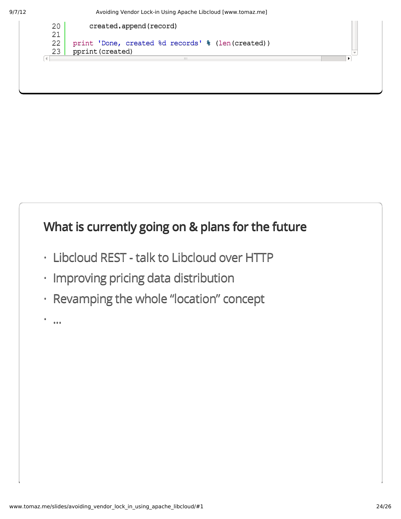9/7/12 Avoiding Vendor Lock-in Using Apache Libcloud [www.tomaz.me]

![](_page_23_Figure_2.jpeg)

## **What is currently going on & plans for the future**

- Libcloud REST talk to Libcloud over HTTP ·
- $\cdot$  Improving pricing data distribution
- Revamping the whole "location" concept ·
- ... ·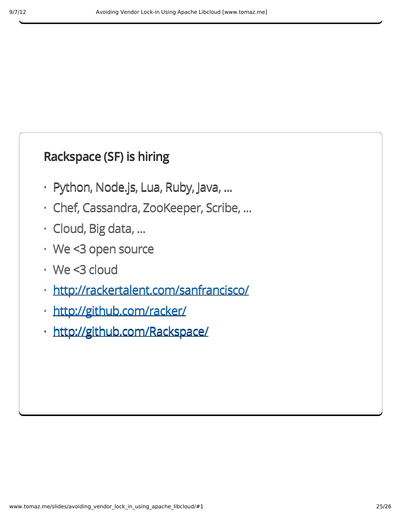## **Rackspace (SF) is hiring**

- $\cdot$  Python, Node.js, Lua, Ruby, Java, ...
- Chef, Cassandra, ZooKeeper, Scribe, ...
- · Cloud, Big data, ...
- We <3 open source ·
- We <3 cloud ·
- <http://rackertalent.com/sanfrancisco/> ·
- · <http://github.com/racker/>
- · <http://github.com/Rackspace/>